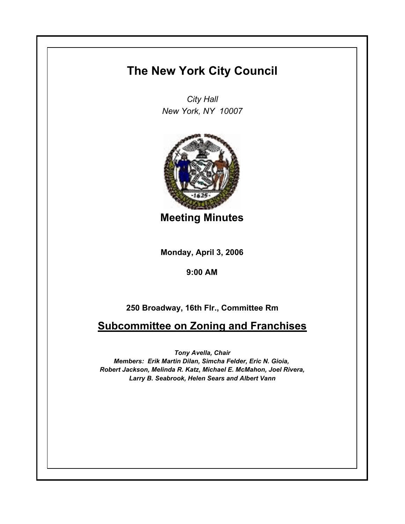## **The New York City Council**

*City Hall New York, NY 10007*



**Meeting Minutes**

**Monday, April 3, 2006**

**9:00 AM**

## **250 Broadway, 16th Flr., Committee Rm**

**Subcommittee on Zoning and Franchises**

*Tony Avella, Chair*

*Members: Erik Martin Dilan, Simcha Felder, Eric N. Gioia, Robert Jackson, Melinda R. Katz, Michael E. McMahon, Joel Rivera, Larry B. Seabrook, Helen Sears and Albert Vann*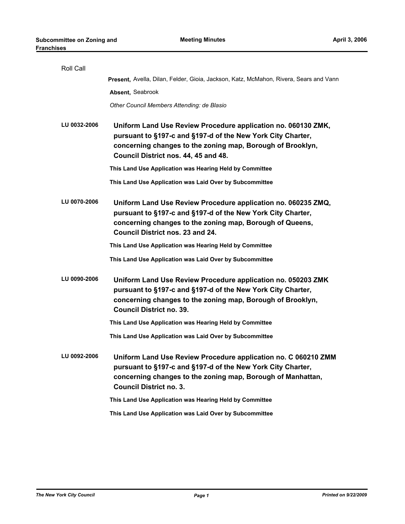| Roll Call    |                                                                                                                                                                                                                                    |
|--------------|------------------------------------------------------------------------------------------------------------------------------------------------------------------------------------------------------------------------------------|
|              | Present, Avella, Dilan, Felder, Gioia, Jackson, Katz, McMahon, Rivera, Sears and Vann                                                                                                                                              |
|              | Absent, Seabrook                                                                                                                                                                                                                   |
|              | Other Council Members Attending: de Blasio                                                                                                                                                                                         |
| LU 0032-2006 | Uniform Land Use Review Procedure application no. 060130 ZMK,<br>pursuant to §197-c and §197-d of the New York City Charter,<br>concerning changes to the zoning map, Borough of Brooklyn,<br>Council District nos. 44, 45 and 48. |
|              | This Land Use Application was Hearing Held by Committee                                                                                                                                                                            |
|              | This Land Use Application was Laid Over by Subcommittee                                                                                                                                                                            |
| LU 0070-2006 | Uniform Land Use Review Procedure application no. 060235 ZMQ,<br>pursuant to §197-c and §197-d of the New York City Charter,<br>concerning changes to the zoning map, Borough of Queens,<br>Council District nos. 23 and 24.       |
|              | This Land Use Application was Hearing Held by Committee                                                                                                                                                                            |
|              | This Land Use Application was Laid Over by Subcommittee                                                                                                                                                                            |
| LU 0090-2006 | Uniform Land Use Review Procedure application no. 050203 ZMK<br>pursuant to §197-c and §197-d of the New York City Charter,<br>concerning changes to the zoning map, Borough of Brooklyn,<br><b>Council District no. 39.</b>       |
|              | This Land Use Application was Hearing Held by Committee                                                                                                                                                                            |
|              | This Land Use Application was Laid Over by Subcommittee                                                                                                                                                                            |
| LU 0092-2006 | Uniform Land Use Review Procedure application no. C 060210 ZMM<br>pursuant to §197-c and §197-d of the New York City Charter,<br>concerning changes to the zoning map, Borough of Manhattan,<br><b>Council District no. 3.</b>     |
|              | This Land Use Application was Hearing Held by Committee                                                                                                                                                                            |
|              | This Land Use Application was Laid Over by Subcommittee                                                                                                                                                                            |